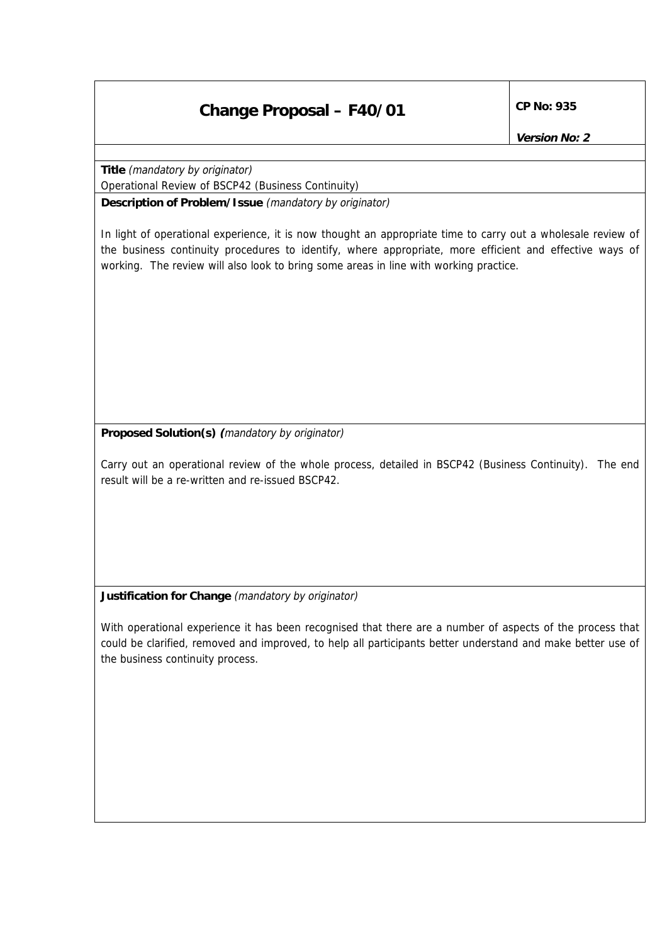## **Change Proposal – F40/01 CP No: 935**

**Version No: 2**

**Title** (mandatory by originator)

Operational Review of BSCP42 (Business Continuity)

**Description of Problem/Issue** (mandatory by originator)

In light of operational experience, it is now thought an appropriate time to carry out a wholesale review of the business continuity procedures to identify, where appropriate, more efficient and effective ways of working. The review will also look to bring some areas in line with working practice.

**Proposed Solution(s) (**mandatory by originator)

Carry out an operational review of the whole process, detailed in BSCP42 (Business Continuity). The end result will be a re-written and re-issued BSCP42.

**Justification for Change** (mandatory by originator)

With operational experience it has been recognised that there are a number of aspects of the process that could be clarified, removed and improved, to help all participants better understand and make better use of the business continuity process.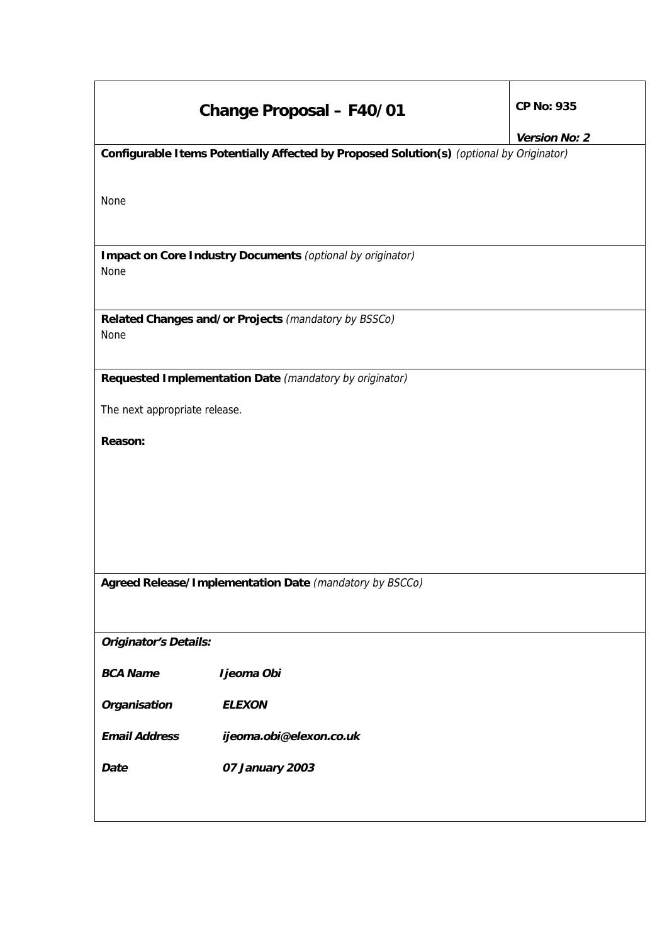|                                                                                          | <b>Change Proposal - F40/01</b>                            | CP No: 935<br>Version No: 2 |
|------------------------------------------------------------------------------------------|------------------------------------------------------------|-----------------------------|
| Configurable Items Potentially Affected by Proposed Solution(s) (optional by Originator) |                                                            |                             |
| None                                                                                     |                                                            |                             |
| None                                                                                     | Impact on Core Industry Documents (optional by originator) |                             |
| None                                                                                     | Related Changes and/or Projects (mandatory by BSSCo)       |                             |
|                                                                                          | Requested Implementation Date (mandatory by originator)    |                             |
| The next appropriate release.                                                            |                                                            |                             |
| Reason:                                                                                  |                                                            |                             |
|                                                                                          |                                                            |                             |
|                                                                                          |                                                            |                             |
|                                                                                          |                                                            |                             |
|                                                                                          |                                                            |                             |
| Agreed Release/Implementation Date (mandatory by BSCCo)                                  |                                                            |                             |
|                                                                                          |                                                            |                             |
| <b>Originator's Details:</b>                                                             |                                                            |                             |
| <b>BCA Name</b>                                                                          | Ijeoma Obi                                                 |                             |
| Organisation                                                                             | <b>ELEXON</b>                                              |                             |
| <b>Email Address</b>                                                                     | ijeoma.obi@elexon.co.uk                                    |                             |
| Date                                                                                     | 07 January 2003                                            |                             |
|                                                                                          |                                                            |                             |